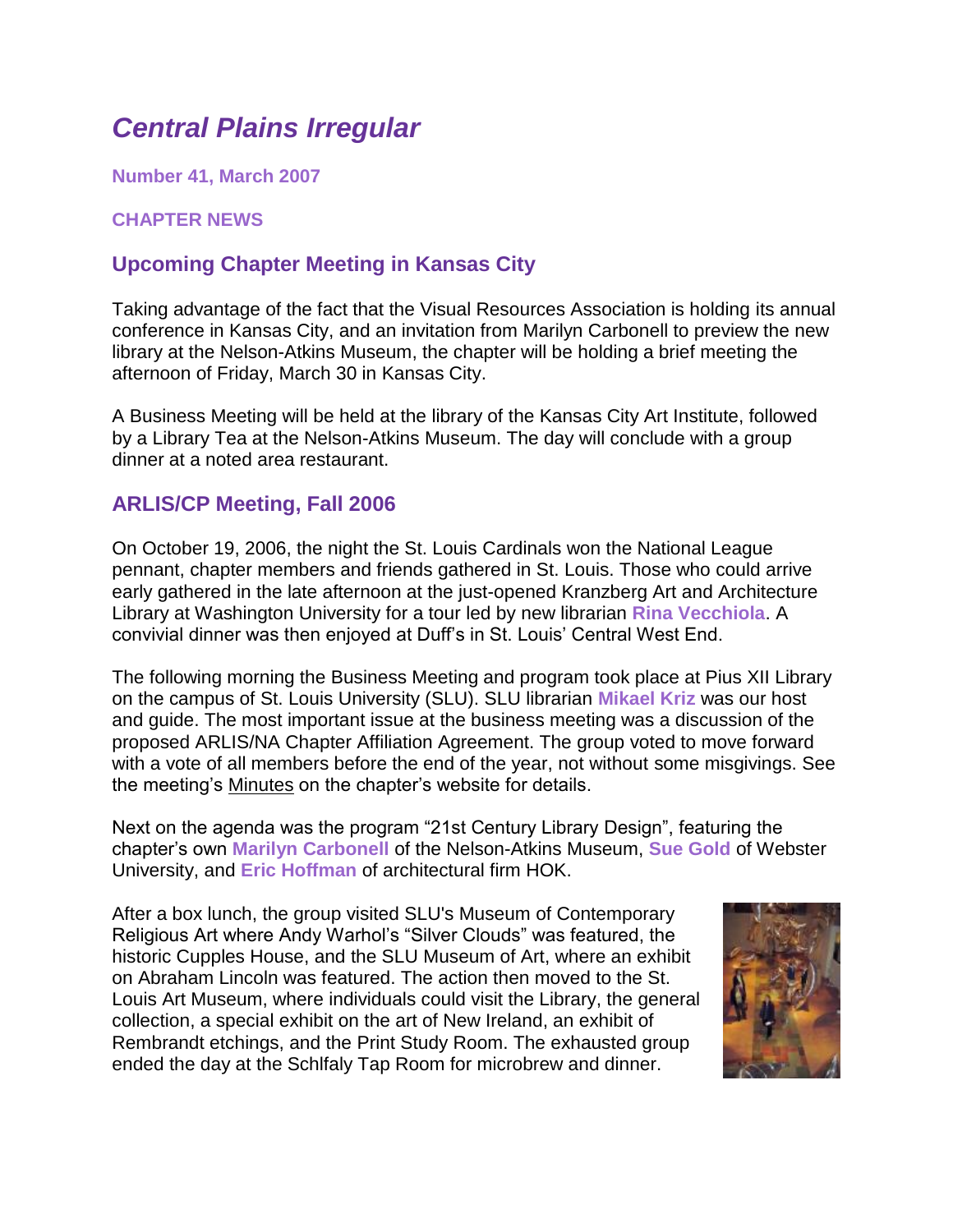# *Central Plains Irregular*

**Number 41, March 2007**

## **CHAPTER NEWS**

# **Upcoming Chapter Meeting in Kansas City**

Taking advantage of the fact that the Visual Resources Association is holding its annual conference in Kansas City, and an invitation from Marilyn Carbonell to preview the new library at the Nelson-Atkins Museum, the chapter will be holding a brief meeting the afternoon of Friday, March 30 in Kansas City.

A Business Meeting will be held at the library of the Kansas City Art Institute, followed by a Library Tea at the Nelson-Atkins Museum. The day will conclude with a group dinner at a noted area restaurant.

## **ARLIS/CP Meeting, Fall 2006**

On October 19, 2006, the night the St. Louis Cardinals won the National League pennant, chapter members and friends gathered in St. Louis. Those who could arrive early gathered in the late afternoon at the just-opened Kranzberg Art and Architecture Library at Washington University for a tour led by new librarian **Rina Vecchiola**. A convivial dinner was then enjoyed at Duff's in St. Louis' Central West End.

The following morning the Business Meeting and program took place at Pius XII Library on the campus of St. Louis University (SLU). SLU librarian **Mikael Kriz** was our host and guide. The most important issue at the business meeting was a discussion of the proposed ARLIS/NA Chapter Affiliation Agreement. The group voted to move forward with a vote of all members before the end of the year, not without some misgivings. See the meeting's [Minutes](file:///C:/Documents%20and%20Settings/krizmd/Desktop/arlisna-cp/arlisna-cp/meetings/f2006.htm) on the chapter's website for details.

Next on the agenda was the program "21st Century Library Design", featuring the chapter's own **Marilyn Carbonell** of the Nelson-Atkins Museum, **Sue Gold** of Webster University, and **Eric Hoffman** of architectural firm HOK.

After a box lunch, the group visited SLU's Museum of Contemporary Religious Art where Andy Warhol's "Silver Clouds" was featured, the historic Cupples House, and the SLU Museum of Art, where an exhibit on Abraham Lincoln was featured. The action then moved to the St. Louis Art Museum, where individuals could visit the Library, the general collection, a special exhibit on the art of New Ireland, an exhibit of Rembrandt etchings, and the Print Study Room. The exhausted group ended the day at the Schlfaly Tap Room for microbrew and dinner.

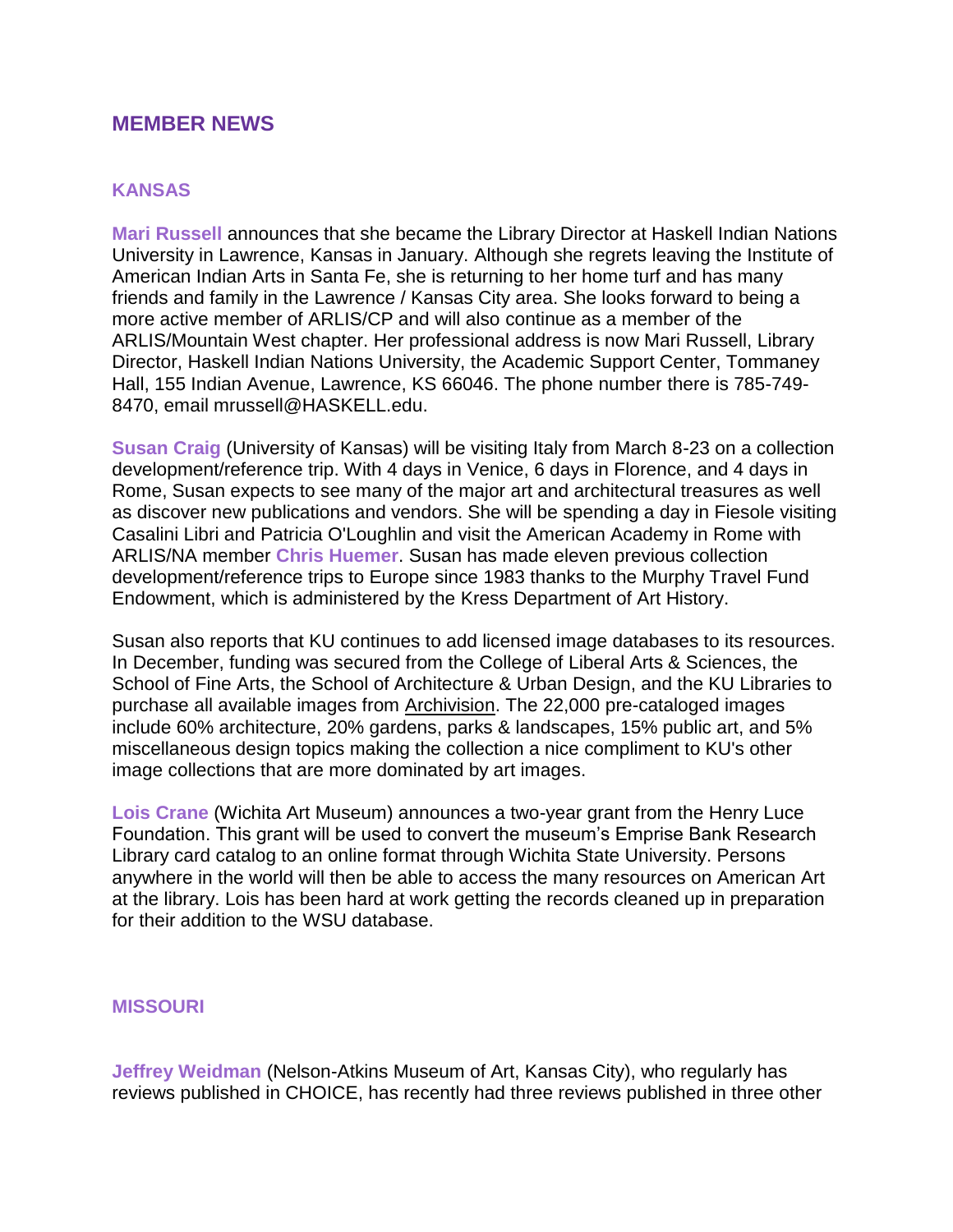### **MEMBER NEWS**

#### **KANSAS**

**Mari Russell** announces that she became the Library Director at Haskell Indian Nations University in Lawrence, Kansas in January. Although she regrets leaving the Institute of American Indian Arts in Santa Fe, she is returning to her home turf and has many friends and family in the Lawrence / Kansas City area. She looks forward to being a more active member of ARLIS/CP and will also continue as a member of the ARLIS/Mountain West chapter. Her professional address is now Mari Russell, Library Director, Haskell Indian Nations University, the Academic Support Center, Tommaney Hall, 155 Indian Avenue, Lawrence, KS 66046. The phone number there is 785-749- 8470, email mrussell@HASKELL.edu.

**Susan Craig** (University of Kansas) will be visiting Italy from March 8-23 on a collection development/reference trip. With 4 days in Venice, 6 days in Florence, and 4 days in Rome, Susan expects to see many of the major art and architectural treasures as well as discover new publications and vendors. She will be spending a day in Fiesole visiting Casalini Libri and Patricia O'Loughlin and visit the American Academy in Rome with ARLIS/NA member **Chris Huemer**. Susan has made eleven previous collection development/reference trips to Europe since 1983 thanks to the Murphy Travel Fund Endowment, which is administered by the Kress Department of Art History.

Susan also reports that KU continues to add licensed image databases to its resources. In December, funding was secured from the College of Liberal Arts & Sciences, the School of Fine Arts, the School of Architecture & Urban Design, and the KU Libraries to purchase all available images from [Archivision.](http://www.archivision.com/) The 22,000 pre-cataloged images include 60% architecture, 20% gardens, parks & landscapes, 15% public art, and 5% miscellaneous design topics making the collection a nice compliment to KU's other image collections that are more dominated by art images.

**Lois Crane** (Wichita Art Museum) announces a two-year grant from the Henry Luce Foundation. This grant will be used to convert the museum's Emprise Bank Research Library card catalog to an online format through Wichita State University. Persons anywhere in the world will then be able to access the many resources on American Art at the library. Lois has been hard at work getting the records cleaned up in preparation for their addition to the WSU database.

#### **MISSOURI**

**Jeffrey Weidman** (Nelson-Atkins Museum of Art, Kansas City), who regularly has reviews published in CHOICE, has recently had three reviews published in three other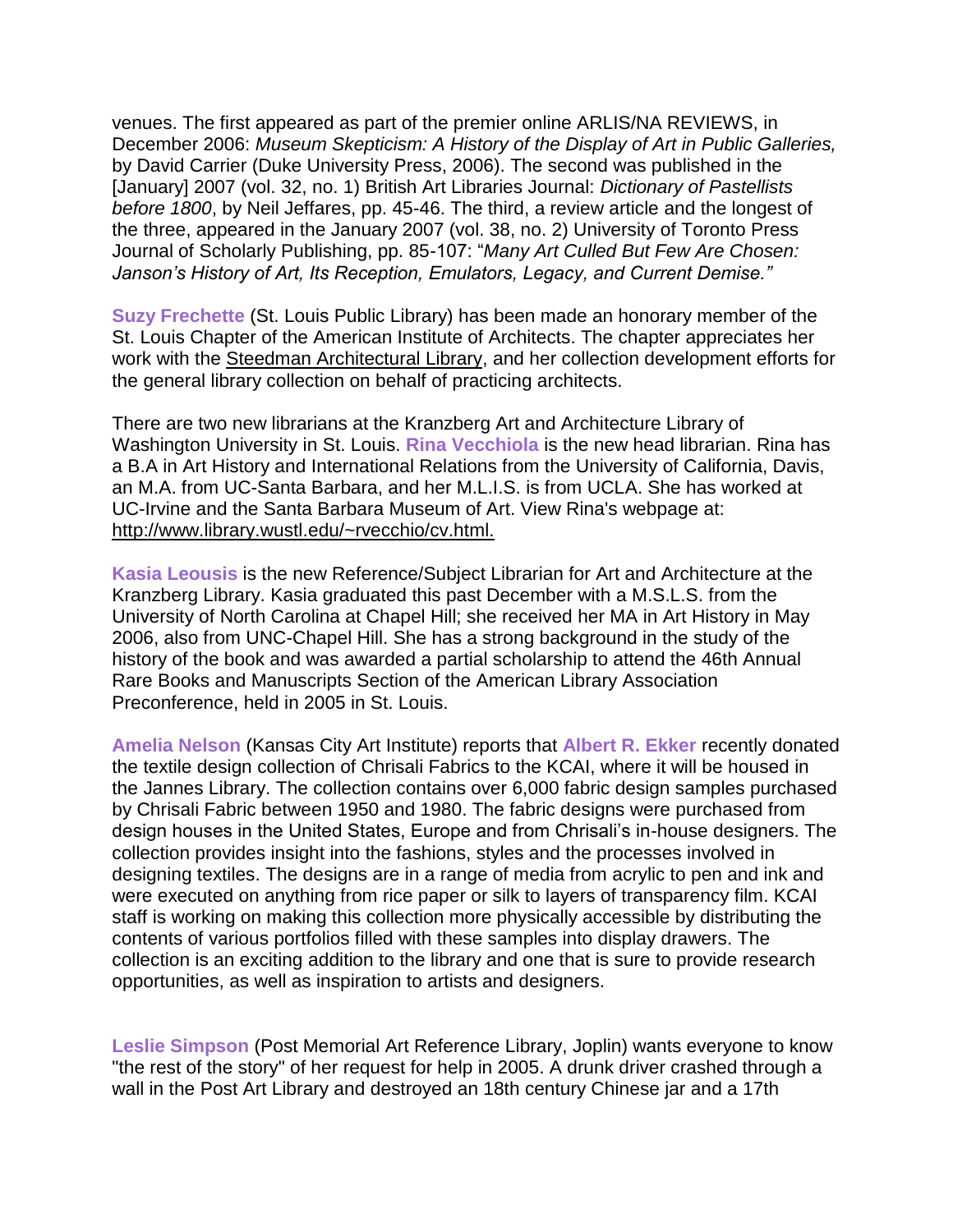venues. The first appeared as part of the premier online ARLIS/NA REVIEWS, in December 2006: *Museum Skepticism: A History of the Display of Art in Public Galleries,* by David Carrier (Duke University Press, 2006). The second was published in the [January] 2007 (vol. 32, no. 1) British Art Libraries Journal: *Dictionary of Pastellists before 1800*, by Neil Jeffares, pp. 45-46. The third, a review article and the longest of the three, appeared in the January 2007 (vol. 38, no. 2) University of Toronto Press Journal of Scholarly Publishing, pp. 85-107: "*Many Art Culled But Few Are Chosen: Janson's History of Art, Its Reception, Emulators, Legacy, and Current Demise."*

**Suzy Frechette** (St. Louis Public Library) has been made an honorary member of the St. Louis Chapter of the American Institute of Architects. The chapter appreciates her work with the [Steedman Architectural Library,](http://exhibits.slpl.org/steedman/index.asp) and her collection development efforts for the general library collection on behalf of practicing architects.

There are two new librarians at the Kranzberg Art and Architecture Library of Washington University in St. Louis. **Rina Vecchiola** is the new head librarian. Rina has a B.A in Art History and International Relations from the University of California, Davis, an M.A. from UC-Santa Barbara, and her M.L.I.S. is from UCLA. She has worked at UC-Irvine and the Santa Barbara Museum of Art. View Rina's webpage at: [http://www.library.wustl.edu/~rvecchio/cv.html.](http://www.library.wustl.edu/~rvecchio/cv.html)

**Kasia Leousis** is the new Reference/Subject Librarian for Art and Architecture at the Kranzberg Library. Kasia graduated this past December with a M.S.L.S. from the University of North Carolina at Chapel Hill; she received her MA in Art History in May 2006, also from UNC-Chapel Hill. She has a strong background in the study of the history of the book and was awarded a partial scholarship to attend the 46th Annual Rare Books and Manuscripts Section of the American Library Association Preconference, held in 2005 in St. Louis.

**Amelia Nelson** (Kansas City Art Institute) reports that **Albert R. Ekker** recently donated the textile design collection of Chrisali Fabrics to the KCAI, where it will be housed in the Jannes Library. The collection contains over 6,000 fabric design samples purchased by Chrisali Fabric between 1950 and 1980. The fabric designs were purchased from design houses in the United States, Europe and from Chrisali's in-house designers. The collection provides insight into the fashions, styles and the processes involved in designing textiles. The designs are in a range of media from acrylic to pen and ink and were executed on anything from rice paper or silk to layers of transparency film. KCAI staff is working on making this collection more physically accessible by distributing the contents of various portfolios filled with these samples into display drawers. The collection is an exciting addition to the library and one that is sure to provide research opportunities, as well as inspiration to artists and designers.

**Leslie Simpson** (Post Memorial Art Reference Library, Joplin) wants everyone to know "the rest of the story" of her request for help in 2005. A drunk driver crashed through a wall in the Post Art Library and destroyed an 18th century Chinese jar and a 17th